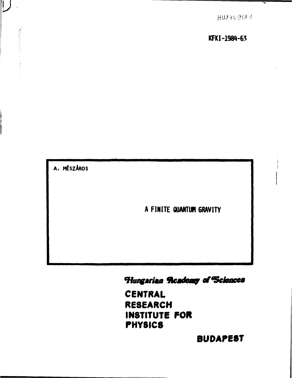$HUS409044$ 

**KFKI-198H-63** 

**A. MESZÄROS** 

 $\mathbb L$ 

# **A FINITE QUANTUM 6RAVITY**

# Hungarian Readenty of Sciences

**CENTRAL RESEARCH INSTITUTE FOR PHYSICS** 

**BUDAPEST**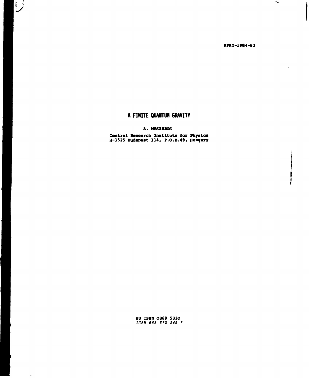**KPKI-1984-63** 

 $\blacktriangleright$ 

J

# A FINITE **QUANTUn** 6RAVITY

*V* 

 $\sim$ 

# **A. MÉSZÁROS**

**Central Research Institute for Physics H-1525 Budapest 114, P.O.B.49, Hungary** 

> **HU ISSN 0368 5330**  *ISBN 963 372 248 7*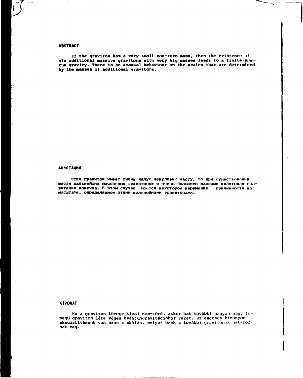# **ABSTRACT**

 $\frac{1}{2}$ 

Ť.

If the graviton has a very small non-zero **Mass,** then the existence of six additional massive gravitons with very big masses leads to a finite quantum gravity. There is an acausal behaviour on the scales that are determined by the **masses** of additional gravitons.

#### АННОТАЦИЯ

Если гравитон имеет очень малуп ненулевую массу, то при существолании шести дальнейших массигных гравитонов с очень большими массами квантовая гравитация конечна. В этом случае .меется некоторое нарушение причинности на масштабе, определяемом этими дальнейшими гравитонами.

## **KIVONAT**

 a graviton tömege kicsi nem-zéró, akkor hat további nagyon nagy törnegü graviton léte véges kvantumgravitációhoz vezet. Ez esetben bizonyos akauzalitásunk van azon a skálán, melyet ezek a további graviionok határoznak meg.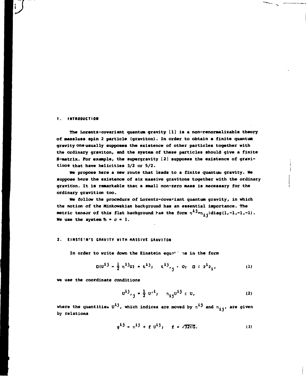### **t. INTRODUCTION**

i.

**The Lorentz-covariant quantum gravity [1] is a non-renormalizable theory of massless spin 2 particle (graviton). In order to obtain a finite quantum gravity one usually supposes the existence of other particles together with the ordinary graviton, and the system of these particles should give a finite S-matrix. Por example, the supergravity [2] supposes the existence of gravitinos that have helicities 3/2 or 5/2.** 

We propose here a new route that leads to a finite quantum gravity. We **suppose here the existence of six massive gravitons together with the ordinary**  graviton. It is remarkable that a small non-zero mass is necessary for the **ordinary gravition too.** 

**We follow the procedure of Lorentz-covariant quantum gravity, in which the notion of the Minkowskian background has an essential importance. The**  metric tensor of this flat background has the form  $n^{1,j} = n_{i,j} = diag(1,-1,-1,-1)$ . We use the system  $h = c = 1$ .

#### **2. EINSTE!N'S GRAVITY WITH MASSIVE GRAVITON**

In order to write down the Einstein equations in the form

$$
O(0^{1j} - \frac{1}{2} n^{1j}0) = t^{1j}, \quad t^{1j}, \quad 0, \quad 0 \leq \theta^{10}, \quad (1)
$$

**we use the coordinate conditions** 

$$
U^{\dot{1}\dot{1}}, \dot{J} = \frac{1}{2} U'^{\dot{1}}, \quad n_{\dot{1}\dot{1}} U^{\dot{1}\dot{1}} = U, \qquad (2)
$$

where the quantities  $U^{\dot 1\dot 1}$ , which indices are moved by  $n^{\dot 1\dot 1}$  and  $n_{\dot 1\dot 1\dot 1}$ , are given **by relations** 

$$
g^{1j} = n^{1j} + f v^{1j}, \quad f = \sqrt{32\pi G}.
$$
 (3)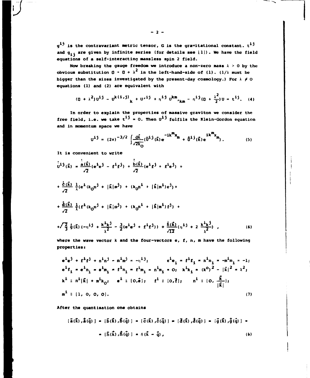$g^{1j}$  is the contravariant metric tensor, G is the gravitational constant.  $t^{1j}$ and  $g_{\textbf{ij}}$  are given by infinite series (for details see  $(1)$ ). We have the field equations of a self-interacting massless spin 2 field.

Now breaking the gauge freedom we introduce a non-zero mass  $\lambda > 0$  by the obvious substitution  $0 \rightarrow 0 + \lambda^2$  in the left-hand-side of (1). (1/ $\lambda$  must be bigger than the sizes investigated by the present-day cosmology.) For  $\lambda \neq 0$ equations (1) and (2) are equivalent with

$$
(0 + \lambda^{2})\mathbf{u}^{i j} - \mathbf{u}^{k(i,j)}_{k} + \mathbf{u}^{i j} + \eta^{i j} \mathbf{u}^{k m}_{k m} - \eta^{i j}(\mathbf{0} + \frac{\lambda^{2}}{2})\mathbf{u} = \mathbf{t}^{i j}.
$$
 (4)

In order to explain the properties of massive graviton we consider the free field, i.e. we take  $t^{1j} = 0$ . Then  $u^{1j}$  fulfils the Klein-Gordon equation and in momentum space we have

$$
U^{\dot{1}\dot{J}} = (2\pi)^{-3/2} \int \frac{d\vec{k}}{\sqrt{2k_{\rm O}}} (\bar{U}^{\dot{1}\dot{J}}(\vec{k}) e^{-i\vec{k}^{\rm IR}} + \dot{U}^{\dot{1}\dot{J}}(\vec{k}) e^{i\vec{k}^{\rm IR}}), \qquad (5)
$$

It is convenient to write

$$
\frac{1}{2}i \hat{j}(\vec{k}) = \frac{\hat{a}(\vec{k})}{\sqrt{2}} (e^{i}e^{j} - f^{i}f^{j}) + \frac{\hat{b}(\vec{k})}{\sqrt{2}} (e^{i}f^{j} + f^{i}e^{j}) +
$$
  
+ 
$$
\frac{\hat{c}(\vec{k})}{\sqrt{2}} \frac{1}{\lambda} (e^{i} (k_{0}n^{j} + |\vec{k}|m^{j}) + (k_{0}n^{i} + |\vec{k}|m^{i})e^{j}) +
$$
  
+ 
$$
\frac{\hat{d}(\vec{k})}{\sqrt{2}} \frac{1}{\lambda} (f^{i} (k_{0}n^{j} + |\vec{k}|m^{j}) + (k_{0}n^{i} + |\vec{k}|m^{i})f^{j}) +
$$
  
+ 
$$
\sqrt{\frac{2}{3}} \dot{g}(\vec{k}) (-n^{i}j + \frac{k^{i}k^{j}}{\lambda^{2}} - \frac{3}{2}(e^{i}e^{j} + f^{i}f^{j})) + \frac{\dot{h}(\vec{k})}{\sqrt{12}} (n^{i}j + 2 \frac{k^{i}k^{j}}{\lambda^{2}}),
$$
(6)

where the wave vector  $k$  and the four-vectors  $e$ ,  $f$ ,  $n$ ,  $m$  have the following properties:

$$
e^{i}e^{j} + f^{i}f^{j} + n^{i}n^{j} - m^{i}m^{j} = -n^{i}j; \t e^{i}e_{i} = f^{i}f_{i} = n^{i}n_{i} = -m^{i}m_{i} = -1;
$$
  
\n
$$
e^{i}f_{i} = e^{i}n_{i} = e^{i}m_{i} = f^{i}n_{i} = f^{i}m_{i} = n^{i}m_{i} = 0; \t k^{i}k_{i} = (k^{0})^{2} - |\vec{k}|^{2} = \lambda^{2};
$$
  
\n
$$
k^{i} \equiv n^{i}|\vec{k}| + m^{i}k_{0}; \t e^{i} \equiv [0,\vec{e}]; \t f^{i} \equiv [0,\vec{f}], \t n^{i} \equiv [0, \frac{\vec{k}}{|\vec{k}|}];
$$
  
\n
$$
m^{i} \equiv [1, 0, 0, 0]. \t(7)
$$

After the quantisation one obtains

$$
\{\vec{a}(\vec{k}), \vec{a}(\vec{q})\} = \{\vec{b}(\vec{k}), \vec{b}(\vec{q})\} = \{\vec{c}(\vec{k}), \vec{c}(\vec{q})\} = \{\vec{d}(\vec{k}), \vec{d}(\vec{q})\} = \{\vec{g}(\vec{k}), \vec{g}(\vec{q})\} =
$$
  
(6)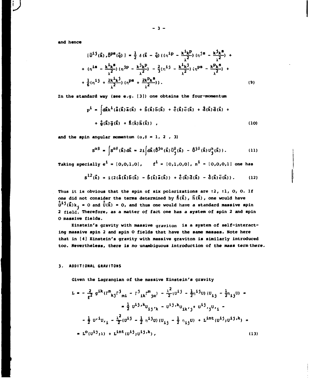and hence

ł.

$$
[\bar{u}^{i\,j}(\vec{k}), \bar{v}^{ps}(\vec{q})] = \frac{1}{2} \delta(\vec{k} - \vec{q}) \left( (\eta^{ip} - \frac{k^{i}k^{p}}{\lambda^{2}}) (\eta^{js} - \frac{k^{j}k^{s}}{\lambda^{2}}) + \frac{(n^{is} - \frac{k^{i}k^{s}}{\lambda^{2}}) (\eta^{jp} - \frac{k^{j}k^{p}}{\lambda^{2}}) - \frac{2}{3}(\eta^{ij} - \frac{k^{i}k^{j}}{\lambda^{2}}) (\eta^{ps} - \frac{k^{p}k^{s}}{\lambda^{2}}) + \frac{1}{6}(\eta^{ij} + \frac{2k^{i}k^{j}}{\lambda^{2}}) (\eta^{ps} + \frac{2k^{p}k^{s}}{\lambda^{2}}) \right).
$$
\n(9)

In the standard way (see e.g.  $(3)$ ) one obtains the four-momentum

$$
P^{\hat{1}} = \int d\vec{k} k^{\hat{1}} (\vec{\dot{a}}(\vec{k}) \,\vec{\dot{a}}(\vec{k}) + \vec{b}(\vec{k}) \,\vec{b}(\vec{k}) + \vec{c}(\vec{k}) \,\vec{c}(\vec{k}) + \vec{d}(\vec{k}) \,\vec{d}(\vec{k}) + + \frac{1}{9}(\vec{k}) \,\vec{g}(\vec{k}) + \vec{h}(\vec{k}) \,\vec{h}(\vec{k}) ,
$$
 (10)

and the spin angular momentum  $(\alpha, \beta = 1, 2, 3)$ 

$$
S^{\alpha\beta} = \int S^{\alpha\beta}(\vec{k}) d\vec{k} = 2i \int d\vec{k} (\vec{b}^{j\alpha}(\vec{k}) \vec{v}_{j}^{\beta}(\vec{k}) - \vec{b}^{j\beta}(\vec{k}) v_{j}^{\alpha}(\vec{k})). \qquad (11)
$$

Taking specially  $e^{i} = [0,0,1,0]$ ,  $f^{i} = [0,1,0,0]$ ,  $n^{i} = [0,0,0,1]$  one has

$$
S^{12}(\vec{k}) = i (2(\vec{a}(\vec{k}))\vec{b}(\vec{k}) - \vec{b}(\vec{k})\vec{a}(\vec{k})) + \vec{c}(\vec{k})\vec{d}(\vec{k}) - \vec{d}(\vec{k})\vec{c}(\vec{k})). \qquad (12)
$$

Thus it is obvious that the spin of six polarizations are  $\pm 2$ ,  $\pm 1$ , 0, 0. If one did not consider the terms determined by  $\vec{h}(\vec{k})$ ,  $\vec{h}(\vec{k})$ , one would have  $\hat{\vec{U}}^{1j}(\vec{k})k_j = 0$  and  $\hat{\vec{U}}(\vec{k}) = 0$ , and thus one would have a standard massive spin 2 field. Therefore, as a matter of fact one has a system of spin 2 and spin O massive fields.

Einstein's gravity with massive graviton is a system of self-interacting massive spin 2 and spin O fields that have the same masses. Note here that in [4] Einstein's gravity with massive graviton is similarly introduced too. Nevertheless, there is no unambiguous introduction of the mass term there.

#### 3. ADDITIONAL GRAVITONS

Given the Lagrangian of the massive Einstein's gravity

$$
L = -\frac{2}{f^2} g^{ik} (r^m{}_{kj}r^j{}_{mi} - r^j{}_{ik}r^m{}_{jn}) - \frac{\lambda^2}{2} (u^{i\,j} - \frac{1}{2}n^{i\,j}u) (u_{ij} - \frac{1}{2}n_{ij}u) =
$$
  

$$
= \frac{1}{2} u^{i\,j} k u_{ij'k} - u^{i\,j} k u_{ik'j} + u^{i\,j}{}_{ij}u_{i\,i} - \frac{1}{2} u^{i\,j} u_{i\,j} - \frac{1}{2} u^{i\,j} u_{i\,j} + \frac{\lambda^2}{2} (u^{i\,j} - \frac{1}{2} n^{i\,j}u) (u_{ij} - \frac{1}{2} n_{ij}u) + L^{int} (u^{i\,j}{}_{j}u^{i\,j}{}^{jk}) =
$$
  

$$
= L^0 (u^{i\,j}{}_{j\,\lambda}) + L^{int} (u^{i\,j}{}_{j}u^{i\,j}{}^{jk}), \qquad (13)
$$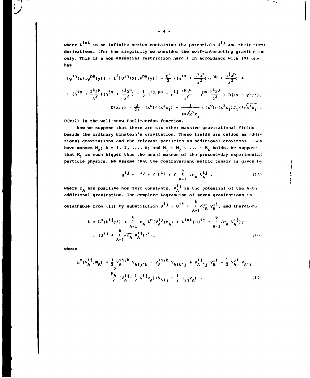where  $L^{int}$  is an infinite series containing the potentials  $U^{ij}$  and their first derivatives. (For the simplicity we consider the self-interacting gravitation only. This is a non-essential restriction here.) In accordance with (9) one has

$$
[g^{ij}(x), g^{ps}(y)] = f^{2}[u^{ij}(x), u^{ps}(y)] = \frac{f^{2}}{2} \left( (\eta^{is} + \frac{\partial^{i} \partial^{s}}{\lambda^{2}}) (\eta^{jp} + \frac{\partial^{j} \partial^{p}}{\lambda^{2}}) + ( \eta^{ip} + \frac{\partial^{i} \partial^{p}}{\lambda^{2}}) (\eta^{js} + \frac{\partial^{j} \partial^{s}}{\lambda^{2}}) - \frac{1}{2} \eta^{ij} \eta^{ps} - \eta^{ij} \frac{\partial^{p} \partial^{s}}{\lambda^{2}} - \eta^{ps} \frac{\partial^{i} \partial^{j}}{\lambda^{2}} \right) D((x - y) \, ; \lambda);
$$
  

$$
D(x; \lambda) = \frac{1}{2\pi} \, \epsilon(x^{0}) \, \delta(x^{i}x_{i}) - \frac{1}{4\pi \sqrt{x^{i}x_{i}}} \, \epsilon(x^{0}) \, \sigma(x^{i}x_{i}) J_{1}(\lambda x^{i}x_{i}).
$$

 $D(x;\lambda)$  is the well-know Pauli-Jordan function.

Now we suppose that there are six other massive gravitational fields beside the ordinary Einstein's gravitation. These fields are called as additional gravitations and the relevant particles as additional gravitons. They have masses  $M_A$ ;  $A = 1$ , 2, ..., 6; and  $M_1 \le M_2 \le ... \le M_6$  holds. We suppose that  $M_1$  is much bigger than the usual masses of the present-day experimental particle physics. We assume that the contravariant metric tensor is given by

$$
g^{ij} = \eta^{ij} + f \theta^{ij} + f \sum_{A=1}^{6} \sqrt{c_A} \theta^{ij}.
$$
 (15)

where  $c_A$  are positive non-zero constants.  $v_A^{\text{ij}}$  is the potential of the A-th additional gravitation. The complete Lagrangian of seven gravitations is obtainable from (13) by substitution  $u^{i j}$  .  $u^{i j}$  +  $\sum_{\Lambda=1}^{6} \sqrt{c_{\Lambda}} v_{\Lambda}^{i j}$ , and therefore

$$
L = L^{O}(U^{\underline{i}\, \underline{j}};\lambda) + \sum_{\substack{\lambda=1 \\ \lambda \neq 1}}^{0} c_{\lambda} L^{O}(V_{\lambda}^{\underline{i}\, \underline{j}};\mu_{\lambda}) + L^{\text{int}}((U^{\underline{i}\, \underline{j}} + \sum_{\substack{\Sigma \\ \lambda \neq 1}}^{0} \overline{c_{\lambda}} V_{\lambda}^{\underline{i}\, \underline{j}});
$$
  
 
$$
U^{\underline{i}\, \underline{j}} + \sum_{\substack{\lambda=1 \\ \lambda \neq 1}}^{0} \overline{c_{\lambda}} V_{\lambda}^{\underline{i}\, \underline{j}};
$$
 (16)

where

$$
L^{O}(V_{A}^{i j}; M_{A}) = \frac{1}{2} V_{A}^{i j, k} V_{A i j' k} - V_{A}^{i j, k} V_{A i k' j} + V_{A}^{i j}, V_{A}^{i i} - \frac{1}{2} V_{A}^{i} V_{A' i} - \frac{1}{2} V_{A}^{i j} V_{A' i} - \frac{1}{2} (V_{A}^{i j} - \frac{1}{2} V_{A}^{i j} V_{A}) (V_{A i j} - \frac{1}{2} V_{i j} V_{A})
$$
 (17)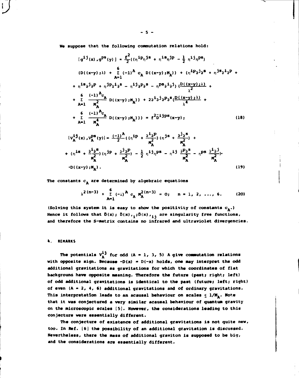We suppose that the following commutation relations hold:

$$
+ \left(\eta^{is} + \frac{\partial^{i}\partial^{s}}{\eta_{A}^{2}}\right)\left(\eta^{jp} + \frac{\partial^{j}\partial^{p}}{\eta_{A}^{2}}\right) - \frac{1}{2} \eta^{ij}\eta^{ps} - \eta^{ij}\frac{\partial^{p}\partial^{s}}{\eta_{A}^{2}} - \eta^{ps}\frac{\partial^{i}\partial^{j}}{\eta_{A}^{2}}.
$$
  
-D( $(x-y)$ ;  $M_{A}$ ). (19)

The constants  $c_{\mathbf{A}}$  are determined by algebraic equations

$$
\lambda^{2(n-3)} + \sum_{A=1}^{6} (-1)^{A} c_{A}^{2(n-3)} = 0; \quad n = 1, 2, ..., 6. \qquad (20)
$$

(Solving this system it is easy to show the positivity of constants  $c_A$ .) Hence it follows that  $\delta(x)$ ;  $\delta(x)$ ,  $\delta(x)$ ,  $\delta(x)$ ,  $\delta(x)$ ,  $\delta(x)$  are singularity free functions, and therefore the S-matrix contains no infrared and ultraviolet divergencies.

#### 4. REMARKS

ſ

The potentials  $V_A^{\textbf{i}\textbf{j}}$  for odd (A = 1, 3, 5) A give commutation relations with opposite sign. Because  $-D(x) = D(-x)$  holds, one may interpret the odd additional gravitations as gravitations for which the coordinates of flat background have opposite meaning. Therefore the future (past; right; left) of odd additional gravitations is identical to the past (future; left; right) of even  $(A = 2, 4, 6)$  additional gravitations and of ordinary gravitations. This interpretation leads to an acausal behaviour on scales  $\leq 1/M_A$ . Note that it was conjectured a very similar acausal behaviour of quantum gravity on the microscopic scales [5]. However, the considerations leading to this conjecture were essentially different.

The conjecture of existence of additional gravitations is not quite new, too. In Ref. [6] the possibility of an additional gravitation is discussed. Nevertheless, there the mass of additional graviton is supposed to be big, and the considerations are essentially different.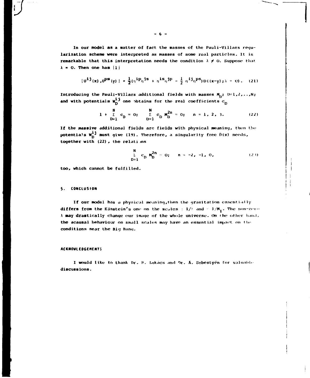In our model as a matter of fact the masses of the Pauli-Villars regularization scheme were interpreted as masses of some real particles. It is remarkable that this interpretation needs the condition  $\lambda \neq 0$ . Suppose that  $\lambda = 0$ . Then one has [1]

$$
(\mathbf{u}^{i\,j}(\mathbf{x}),\mathbf{u}^{ps}(\mathbf{y})\,]=\frac{1}{2}(\eta^{i\,p}\eta^{js}+\eta^{is}\eta^{jp}-\frac{1}{2}\eta^{ij}\eta^{ps})D((\mathbf{x}-\mathbf{y});\lambda=0)\,. \tag{21}
$$

Introducing the Pauli-Villars additional fields with masses  $M_{ij}$ ;  $D=1,2,...,N$ ; and with potentials  $w_D^{i,j}$  one obtains for the real coefficients  $c_D$ 

$$
1 + \sum_{D=1}^{N} c_D = 0; \qquad \sum_{D=1}^{N} c_D M_D^{2n} = 0; \qquad n = 1, 2, 3.
$$
 (22)

If the massive additional fields are fields with physical meaning, then the potentials  $w_0^{i,j}$  must give (19). Therefore, a singularity free  $\tilde{D}(x)$  needs, together with (22), the relations

$$
\sum_{D=1}^{N} c_D M_D^{2n} = 0; \quad n = -2, -1, 0,
$$
 (23)

too, which cannot be fulfilled.

# 5. CONCLUSION

ł.

If our model has a physical meaning, then the gravitation essentially differs from the Einstein's one on the scales  $\pm 1/\lambda$  and  $\pm 1/\mu_1$ . The non-zero A may drastically change our image of the whole universe. On the other hand, the acausal behaviour on small scales may have an essential impact on the conditions near the Big Bang.

#### **ACKNOWLEDGEMENTS**

I would like to thank Dr. B. Lukacs and Dr. A. Sebestyen for valuable discussions.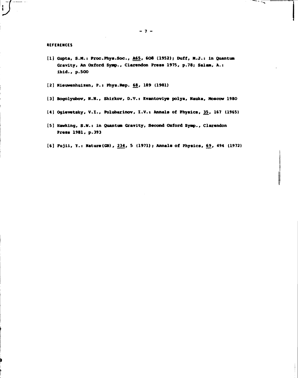## **REFERENCES**

 $\ddot{\mathbf{r}}$ 

- **[1] Gupta, S.M.t Proc.Phys.Soc., A65, 60S (1952); Duff, N.J.: in Quantum Gravity, An Oxford Symp., Clarendon Press 1975, p.78; Salam, A.: ibid., p.500**
- **[2] Nieuwenhuizen, P.: Phys.Rep. 68, 189 (1981)**
- **[3] Bogolyubov, N.N., Shirkov, D.V. t Kvantoviye polya, Nauka, Moscow 1980**
- **[4] Ogiavatsky, V.l., Polubarinov, I.V.: Annals of Physics, 35, 167 (1965)**
- **[5] Hawking, S.N.: in Quantum Gravity, Second Oxford Symp., Clarendon Press 1981, p.393**
- **[6] Fujii, Y.: Nature(GB), 234, 5 (1971); Annals of Physics, 69, 494 (1972)**

-- <del>--</del>